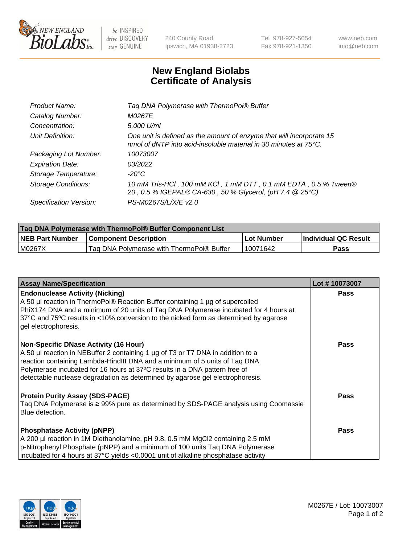

 $be$  INSPIRED drive DISCOVERY stay GENUINE

240 County Road Ipswich, MA 01938-2723 Tel 978-927-5054 Fax 978-921-1350 www.neb.com info@neb.com

## **New England Biolabs Certificate of Analysis**

| Product Name:              | Tag DNA Polymerase with ThermoPol® Buffer                                                                                                |
|----------------------------|------------------------------------------------------------------------------------------------------------------------------------------|
| Catalog Number:            | M0267E                                                                                                                                   |
| Concentration:             | 5,000 U/ml                                                                                                                               |
| Unit Definition:           | One unit is defined as the amount of enzyme that will incorporate 15<br>nmol of dNTP into acid-insoluble material in 30 minutes at 75°C. |
| Packaging Lot Number:      | 10073007                                                                                                                                 |
| <b>Expiration Date:</b>    | 03/2022                                                                                                                                  |
| Storage Temperature:       | $-20^{\circ}$ C                                                                                                                          |
| <b>Storage Conditions:</b> | 10 mM Tris-HCl, 100 mM KCl, 1 mM DTT, 0.1 mM EDTA, 0.5 % Tween®<br>20, 0.5 % IGEPAL® CA-630, 50 % Glycerol, (pH 7.4 @ 25°C)              |
| Specification Version:     | PS-M0267S/L/X/E v2.0                                                                                                                     |

| <b>Tag DNA Polymerase with ThermoPol® Buffer Component List</b> |                                           |            |                      |  |
|-----------------------------------------------------------------|-------------------------------------------|------------|----------------------|--|
| <b>NEB Part Number</b>                                          | <b>Component Description</b>              | Lot Number | Individual QC Result |  |
| M0267X                                                          | Tag DNA Polymerase with ThermoPol® Buffer | 10071642   | Pass                 |  |

| <b>Assay Name/Specification</b>                                                                                                                                                                                                                                                                                                                                              | Lot #10073007 |
|------------------------------------------------------------------------------------------------------------------------------------------------------------------------------------------------------------------------------------------------------------------------------------------------------------------------------------------------------------------------------|---------------|
| <b>Endonuclease Activity (Nicking)</b><br>A 50 µl reaction in ThermoPol® Reaction Buffer containing 1 µg of supercoiled<br>PhiX174 DNA and a minimum of 20 units of Tag DNA Polymerase incubated for 4 hours at<br>37°C and 75°C results in <10% conversion to the nicked form as determined by agarose<br>gel electrophoresis.                                              | <b>Pass</b>   |
| <b>Non-Specific DNase Activity (16 Hour)</b><br>A 50 µl reaction in NEBuffer 2 containing 1 µg of T3 or T7 DNA in addition to a<br>reaction containing Lambda-HindIII DNA and a minimum of 5 units of Taq DNA<br>Polymerase incubated for 16 hours at 37°C results in a DNA pattern free of<br>detectable nuclease degradation as determined by agarose gel electrophoresis. | <b>Pass</b>   |
| <b>Protein Purity Assay (SDS-PAGE)</b><br>Taq DNA Polymerase is ≥ 99% pure as determined by SDS-PAGE analysis using Coomassie<br>Blue detection.                                                                                                                                                                                                                             | <b>Pass</b>   |
| <b>Phosphatase Activity (pNPP)</b><br>A 200 µl reaction in 1M Diethanolamine, pH 9.8, 0.5 mM MgCl2 containing 2.5 mM<br>$\vert$ p-Nitrophenyl Phosphate (pNPP) and a minimum of 100 units Taq DNA Polymerase<br>incubated for 4 hours at 37°C yields <0.0001 unit of alkaline phosphatase activity                                                                           | <b>Pass</b>   |